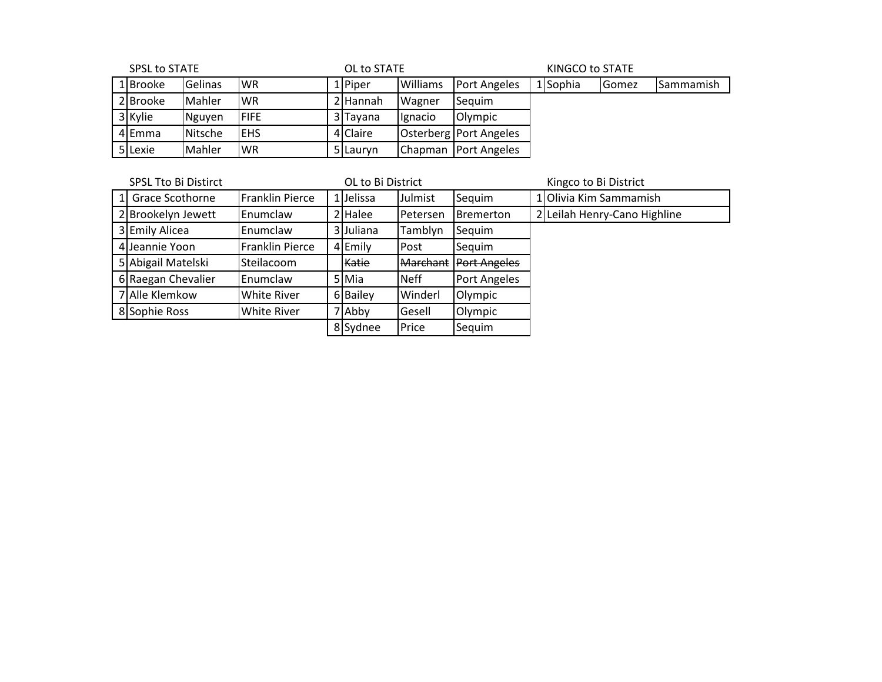| <b>SPSL to STATE</b> |          |         | OL to STATE  |  |          |                 | KINGCO to STATE          |  |          |                |                  |  |
|----------------------|----------|---------|--------------|--|----------|-----------------|--------------------------|--|----------|----------------|------------------|--|
|                      | 1 Brooke | Gelinas | <b>IWR</b>   |  | 1 Piper  | <b>Williams</b> | <b>Port Angeles</b>      |  | 1 Sophia | <b>I</b> Gomez | <b>Sammamish</b> |  |
|                      | 2 Brooke | Mahler  | <b>IWR</b>   |  | 2 Hannah | <b>Wagner</b>   | Sequim                   |  |          |                |                  |  |
|                      | 3 Kylie  | Nguyen  | <b>IFIFE</b> |  | 3 Tayana | Ignacio         | Olympic                  |  |          |                |                  |  |
|                      | 4 Emma   | Nitsche | <b>IEHS</b>  |  | 4 Claire |                 | Osterberg   Port Angeles |  |          |                |                  |  |
|                      | 5 Lexie  | Mahler  | IWR          |  | 5 Lauryn |                 | Chapman Port Angeles     |  |          |                |                  |  |

|                | <b>SPSL Tto Bi Distirct</b>              | OL to Bi District  |           |              |                 |                     |  | Kingco to Bi District        |  |  |  |
|----------------|------------------------------------------|--------------------|-----------|--------------|-----------------|---------------------|--|------------------------------|--|--|--|
| 1 <sup>1</sup> | Franklin Pierce<br>Grace Scothorne       |                    | 1 Jelissa |              | Julmist         | Sequim              |  | 1 Olivia Kim Sammamish       |  |  |  |
|                | 2 Brookelyn Jewett                       | <b>I</b> Enumclaw  |           | 2 Halee      | Petersen        | <b>I</b> Bremerton  |  | 2 Leilah Henry-Cano Highline |  |  |  |
|                | 3 Emily Alicea<br><b>Enumclaw</b>        |                    |           | 3 Juliana    | Tamblyn         | Sequim              |  |                              |  |  |  |
|                | <b>Franklin Pierce</b><br>4 Jeannie Yoon |                    |           | 4 Emily      | Post            | Sequim              |  |                              |  |  |  |
|                | 5 Abigail Matelski<br>Steilacoom         |                    |           |              |                 |                     |  |                              |  |  |  |
|                |                                          |                    |           | <b>Katie</b> | <b>Marchant</b> | <b>Port Angeles</b> |  |                              |  |  |  |
|                | 6 Raegan Chevalier                       | <b>I</b> Enumclaw  |           | 5 Mia        | <b>Neff</b>     | <b>Port Angeles</b> |  |                              |  |  |  |
|                | 7 Alle Klemkow                           | <b>White River</b> |           | 6 Bailey     | Winderl         | Olympic             |  |                              |  |  |  |
|                | 8 Sophie Ross                            | <b>White River</b> |           | 7 Abby       | Gesell          | Olympic             |  |                              |  |  |  |